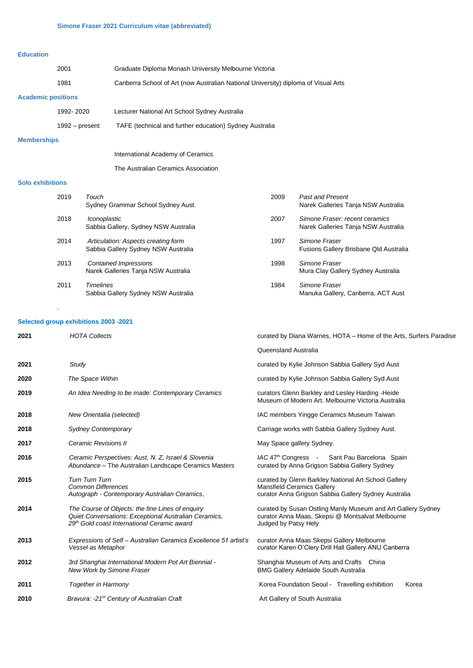### **Education**

|                           | 2001           | Graduate Diploma Monash University Melbourne Victoria                              |  |  |
|---------------------------|----------------|------------------------------------------------------------------------------------|--|--|
|                           | 1981           | Canberra School of Art (now Australian National University) diploma of Visual Arts |  |  |
| <b>Academic positions</b> |                |                                                                                    |  |  |
|                           | 1992-2020      | Lecturer National Art School Sydney Australia                                      |  |  |
|                           | 1992 – present | TAFE (technical and further education) Sydney Australia                            |  |  |

### **Memberships**

International Academy of Ceramics

The Australian Ceramics Association

## **Solo exhibitions**

| 2019 | Touch<br>Sydney Grammar School Sydney Aust.                                | 2009 | <b>Past and Present</b><br>Narek Galleries Tanja NSW Australia        |
|------|----------------------------------------------------------------------------|------|-----------------------------------------------------------------------|
| 2018 | Iconoplastic<br>Sabbia Gallery, Sydney NSW Australia                       | 2007 | Simone Fraser: recent ceramics<br>Narek Galleries Tanja NSW Australia |
| 2014 | Articulation: Aspects creating form<br>Sabbia Gallery Sydney NSW Australia | 1997 | Simone Fraser<br>Fusions Gallery Brisbane Qld Australia               |
| 2013 | Contained Impressions<br>Narek Galleries Tanja NSW Australia               | 1998 | Simone Fraser<br>Mura Clay Gallery Sydney Australia                   |
| 2011 | <b>Timelines</b><br>Sabbia Gallery Sydney NSW Australia                    | 1984 | Simone Fraser<br>Manuka Gallery, Canberra, ACT Aust                   |

# **Selected group exhibitions 2003 -2021**

.

| 2021 | <b>HOTA Collects</b>                                                                                                                                     | curated by Diana Warnes, HOTA - Home of the Arts, Surfers Paradise                                                                                |  |
|------|----------------------------------------------------------------------------------------------------------------------------------------------------------|---------------------------------------------------------------------------------------------------------------------------------------------------|--|
|      |                                                                                                                                                          | Queensland Australia                                                                                                                              |  |
| 2021 | Study                                                                                                                                                    | curated by Kylie Johnson Sabbia Gallery Syd Aust                                                                                                  |  |
| 2020 | The Space Within                                                                                                                                         | curated by Kylie Johnson Sabbia Gallery Syd Aust                                                                                                  |  |
| 2019 | An Idea Needing to be made: Contemporary Ceramics                                                                                                        | curators Glenn Barkley and Lesley Harding - Heide<br>Museum of Modern Art. Melbourne Victoria Australia                                           |  |
| 2018 | New Orientalia (selected)                                                                                                                                | IAC members Yingge Ceramics Museum Taiwan                                                                                                         |  |
| 2018 | <b>Sydney Contemporary</b>                                                                                                                               | Carriage works with Sabbia Gallery Sydney Aust.                                                                                                   |  |
| 2017 | Ceramic Revisions II                                                                                                                                     | May Space gallery Sydney.                                                                                                                         |  |
| 2016 | Ceramic Perspectives: Aust, N. Z, Israel & Slovenia<br>Abundance - The Australian Landscape Ceramics Masters                                             | IAC 47th Congress - Sant Pau Barcelona Spain<br>curated by Anna Grigson Sabbia Gallery Sydney                                                     |  |
| 2015 | <b>Turn Turn Turn</b><br><b>Common Differences</b><br>Autograph - Contemporary Australian Ceramics,                                                      | curated by Glenn Barkley National Art School Gallery<br><b>Mansfield Ceramics Gallery</b><br>curator Anna Grigson Sabbia Gallery Sydney Australia |  |
| 2014 | The Course of Objects: the fine Lines of enguiry<br>Quiet Conversations: Exceptional Australian Ceramics,<br>29th Gold coast International Ceramic award | curated by Susan Ostling Manly Museum and Art Gallery Sydney<br>curator Anna Maas, Skepsi @ Montsalvat Melbourne<br>Judged by Patsy Hely          |  |
| 2013 | Expressions of Self - Australian Ceramics Excellence 51 artist's<br>Vessel as Metaphor                                                                   | curator Anna Maas Skepsi Gallery Melbourne<br>curator Karen O'Clery Drill Hall Gallery ANU Canberra                                               |  |
| 2012 | 3rd Shanghai International Modern Pot Art Biennial -<br>New Work by Simone Fraser                                                                        | Shanghai Museum of Arts and Crafts China<br><b>BMG Gallery Adelaide South Australia</b>                                                           |  |
| 2011 | <b>Together in Harmony</b>                                                                                                                               | Korea Foundation Seoul - Travelling exhibition<br>Korea                                                                                           |  |
| 2010 | Bravura: -21 <sup>st</sup> Century of Australian Craft                                                                                                   | Art Gallery of South Australia                                                                                                                    |  |
|      |                                                                                                                                                          |                                                                                                                                                   |  |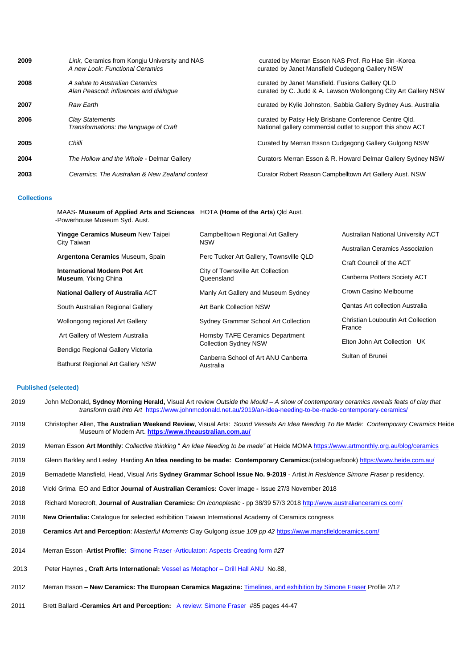| 2009 | Link, Ceramics from Kongju University and NAS<br>A new Look: Functional Ceramics | curated by Merran Esson NAS Prof. Ro Hae Sin - Korea<br>curated by Janet Mansfield Cudegong Gallery NSW              |
|------|----------------------------------------------------------------------------------|----------------------------------------------------------------------------------------------------------------------|
| 2008 | A salute to Australian Ceramics<br>Alan Peascod: influences and dialoque         | curated by Janet Mansfield. Fusions Gallery QLD<br>curated by C. Judd & A. Lawson Wollongong City Art Gallery NSW    |
| 2007 | Raw Earth                                                                        | curated by Kylie Johnston, Sabbia Gallery Sydney Aus. Australia                                                      |
| 2006 | Clay Statements<br>Transformations: the language of Craft                        | curated by Patsy Hely Brisbane Conference Centre Qld.<br>National gallery commercial outlet to support this show ACT |
| 2005 | Chilli                                                                           | Curated by Merran Esson Cudgegong Gallery Gulgong NSW                                                                |
| 2004 | The Hollow and the Whole - Delmar Gallery                                        | Curators Merran Esson & R. Howard Delmar Gallery Sydney NSW                                                          |
| 2003 | Ceramics: The Australian & New Zealand context                                   | Curator Robert Reason Campbelltown Art Gallery Aust. NSW                                                             |

### **Collections**

MAAS- **Museum of Applied Arts and Sciences** HOTA **(Home of the Arts**) Qld Aust. -Powerhouse Museum Syd. Aust.

| <b>Yingge Ceramics Museum New Taipei</b><br>City Taiwan     | Campbelltown Regional Art Gallery<br><b>NSW</b>                  | Australian National University ACT                          |
|-------------------------------------------------------------|------------------------------------------------------------------|-------------------------------------------------------------|
| Argentona Ceramics Museum, Spain                            | Perc Tucker Art Gallery, Townsville QLD                          | Australian Ceramics Association<br>Craft Council of the ACT |
| International Modern Pot Art<br><b>Museum, Yixing China</b> | City of Townsville Art Collection<br>Queensland                  | Canberra Potters Society ACT                                |
| <b>National Gallery of Australia ACT</b>                    | Manly Art Gallery and Museum Sydney                              | Crown Casino Melbourne                                      |
| South Australian Regional Gallery                           | Art Bank Collection NSW                                          | <b>Qantas Art collection Australia</b>                      |
| Wollongong regional Art Gallery                             | Sydney Grammar School Art Collection                             | Christian Louboutin Art Collection<br>France                |
| Art Gallery of Western Australia                            | Hornsby TAFE Ceramics Department<br><b>Collection Sydney NSW</b> | Elton John Art Collection UK                                |
| Bendigo Regional Gallery Victoria                           |                                                                  | Sultan of Brunei                                            |
| <b>Bathurst Regional Art Gallery NSW</b>                    | Canberra School of Art ANU Canberra<br>Australia                 |                                                             |

### **Published (selected)**

- 2019John McDonald**, Sydney Morning Herald,** Visual Art review *Outside the Mould – A show of contemporary ceramics reveals feats of clay that transform craft into Art* <https://www.johnmcdonald.net.au/2019/an-idea-needing-to-be-made-contemporary-ceramics/>
- 2019Christopher Allen, **The Australian Weekend Review**, Visual Arts: *Sound Vessels An Idea Needing To Be Made: Contemporary Ceramics* Heide Museum of Modern Art. **<https://www.theaustralian.com.au/>**
- 2019 Merran Esson **Art Monthly**: *Collective thinking* " *An Idea Needing to be made"* at Heide MOM[A https://www.artmonthly.org.au/blog/ceramics](https://www.artmonthly.org.au/blog/ceramics)
- 2019 Glenn Barkley and Lesley Harding **An Idea needing to be made: Contemporary Ceramics:**(catalogue/book)<https://www.heide.com.au/>
- 2019Bernadette Mansfield, Head, Visual Arts **Sydney Grammar School Issue No. 9-2019**  Artist *in Residence Simone Fraser* p residency.
- 2018Vicki Grima EO and Editor **Journal of Australian Ceramics:** Cover image **-** Issue 27/3 November 2018
- 2018 Richard Morecroft, **Journal of Australian Ceramics:** *On Iconoplastic -* pp 38/39 57/3 2018<http://www.australianceramics.com/>
- 2018 **New Orientalia:** Catalogue for selected exhibition Taiwan International Academy of Ceramics congress
- 2018 **Ceramics Art and Perception**: *Masterful Moments* Clay Gulgong *issue 109 pp 42* <https://www.mansfieldceramics.com/>
- 2014Merran Esson -**Artist Profile**[: Simone Fraser -Articulaton: Aspects Creating form](http://www.simonefraser.com.au/home/images/PDF/AP27_112-114_Simone_Fraser.pdf) *#2***7**
- [2013 P](http://www.simonefraser.com.au/home/images/PDF/AP27_112-114_Simone_Fraser.pdf)eter Haynes **, Craft Arts International:** [Vessel as Metaphor –](http://www.simonefraser.com.au/home/images/PDF/Vessel_as_Metaphor_Craft_Arts.pdf) Drill Hall ANU No.88,
- 2012 Merran Esson **– New Ceramics: The European Ceramics Magazine:** [Timelines, and exhibition by Simone Fraser](http://simonefraser.com.au/home/images/PDF/New_Ceramics_1-4.pdf) Profile 2/12
- 2011Brett Ballard **-Ceramics Art and Perception:** [A review: Simone Fraser](http://simonefraser.com.au/home/images/PDF/Simone_Fraser_brett_ballard.pdf)#85 pages 44-47